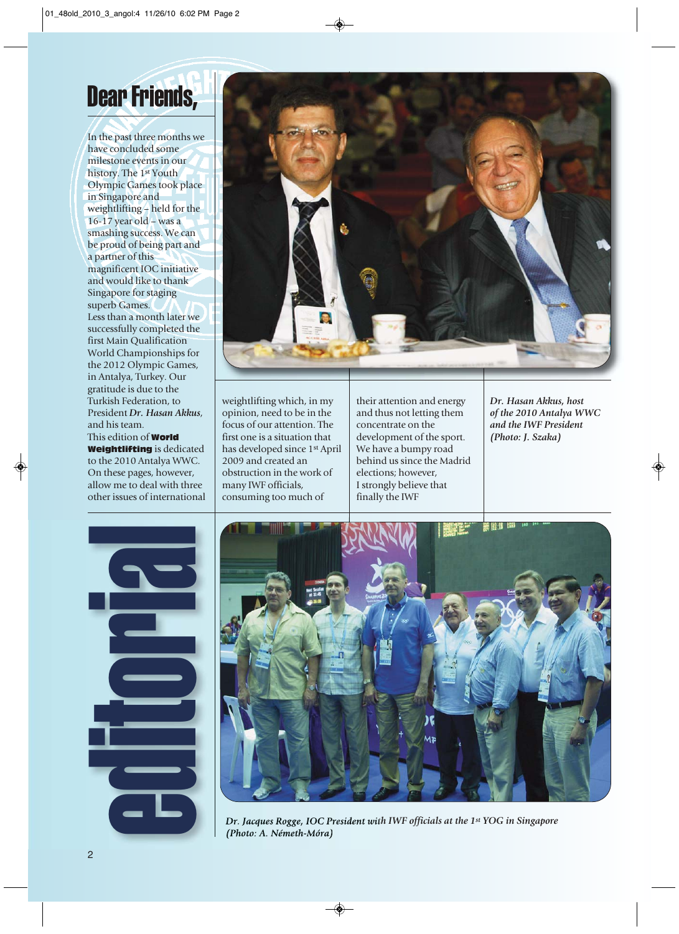## Dear Friends,

In the past three months we have concluded some milestone events in our history. The 1st Youth Olympic Games took place in Singapore and weightlifting – held for the 16-17 year old – was a smashing success. We can be proud of being part and a partner of this magnificent IOC initiative and would like to thank Singapore for staging superb Games. Less than a month later we successfully completed the first Main Qualification World Championships for the 2012 Olympic Games, in Antalya, Turkey. Our gratitude is due to the Turkish Federation, to President *Dr. Hasan Akkus*, and his team. This edition of World Weightlifting is dedicated to the 2010 Antalya WWC. On these pages, however, allow me to deal with three

other issues of international



weightlifting which, in my opinion, need to be in the focus of our attention. The first one is a situation that has developed since 1st April 2009 and created an obstruction in the work of many IWF officials, consuming too much of

their attention and energy and thus not letting them concentrate on the development of the sport. We have a bumpy road behind us since the Madrid elections; however, I strongly believe that finally the IWF

*Dr. Hasan Akkus, host of the 2010 Antalya WWC and the IWF President (Photo: J. Szaka)*





*Dr. Jacques Rogge, IOC President with IWF officials at the 1st YOG in Singapore (Photo: A. Németh-Móra)*